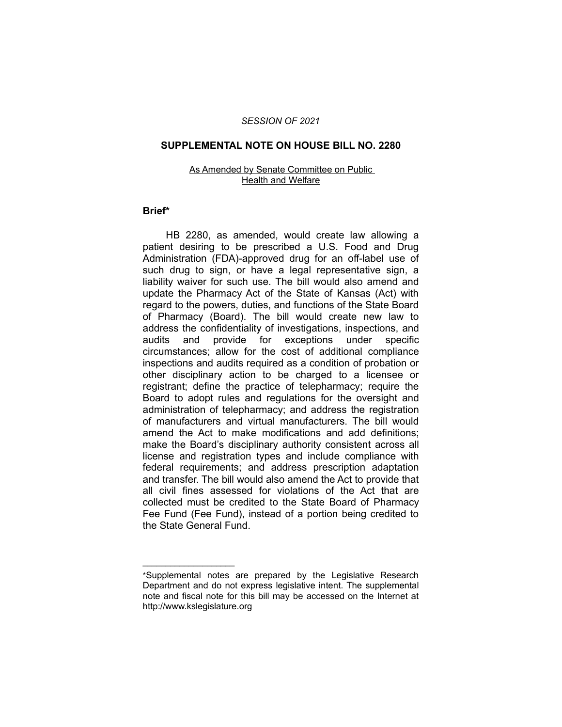#### *SESSION OF 2021*

#### **SUPPLEMENTAL NOTE ON HOUSE BILL NO. 2280**

#### As Amended by Senate Committee on Public Health and Welfare

#### **Brief\***

HB 2280, as amended, would create law allowing a patient desiring to be prescribed a U.S. Food and Drug Administration (FDA)-approved drug for an off-label use of such drug to sign, or have a legal representative sign, a liability waiver for such use. The bill would also amend and update the Pharmacy Act of the State of Kansas (Act) with regard to the powers, duties, and functions of the State Board of Pharmacy (Board). The bill would create new law to address the confidentiality of investigations, inspections, and audits and provide for exceptions under specific circumstances; allow for the cost of additional compliance inspections and audits required as a condition of probation or other disciplinary action to be charged to a licensee or registrant; define the practice of telepharmacy; require the Board to adopt rules and regulations for the oversight and administration of telepharmacy; and address the registration of manufacturers and virtual manufacturers. The bill would amend the Act to make modifications and add definitions; make the Board's disciplinary authority consistent across all license and registration types and include compliance with federal requirements; and address prescription adaptation and transfer. The bill would also amend the Act to provide that all civil fines assessed for violations of the Act that are collected must be credited to the State Board of Pharmacy Fee Fund (Fee Fund), instead of a portion being credited to the State General Fund.

 $\overline{\phantom{a}}$  , where  $\overline{\phantom{a}}$  , where  $\overline{\phantom{a}}$ 

<sup>\*</sup>Supplemental notes are prepared by the Legislative Research Department and do not express legislative intent. The supplemental note and fiscal note for this bill may be accessed on the Internet at http://www.kslegislature.org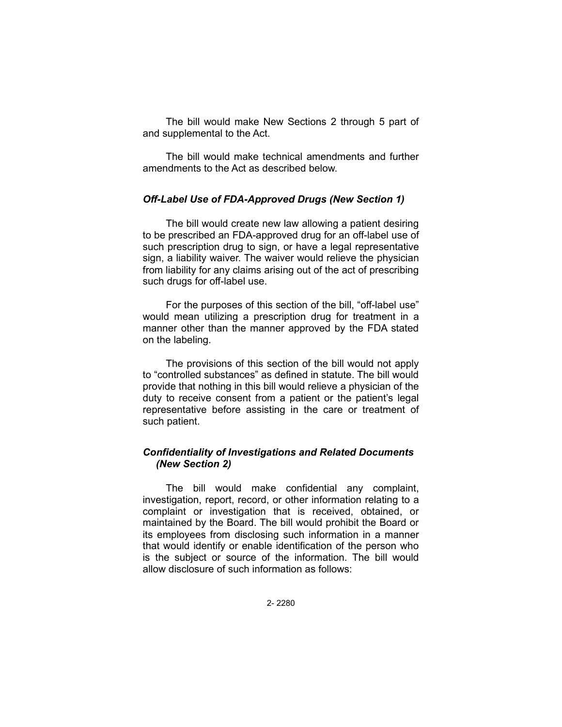The bill would make New Sections 2 through 5 part of and supplemental to the Act.

The bill would make technical amendments and further amendments to the Act as described below.

### *Off-Label Use of FDA-Approved Drugs (New Section 1)*

The bill would create new law allowing a patient desiring to be prescribed an FDA-approved drug for an off-label use of such prescription drug to sign, or have a legal representative sign, a liability waiver. The waiver would relieve the physician from liability for any claims arising out of the act of prescribing such drugs for off-label use.

For the purposes of this section of the bill, "off-label use" would mean utilizing a prescription drug for treatment in a manner other than the manner approved by the FDA stated on the labeling.

The provisions of this section of the bill would not apply to "controlled substances" as defined in statute. The bill would provide that nothing in this bill would relieve a physician of the duty to receive consent from a patient or the patient's legal representative before assisting in the care or treatment of such patient.

# *Confidentiality of Investigations and Related Documents (New Section 2)*

The bill would make confidential any complaint, investigation, report, record, or other information relating to a complaint or investigation that is received, obtained, or maintained by the Board. The bill would prohibit the Board or its employees from disclosing such information in a manner that would identify or enable identification of the person who is the subject or source of the information. The bill would allow disclosure of such information as follows: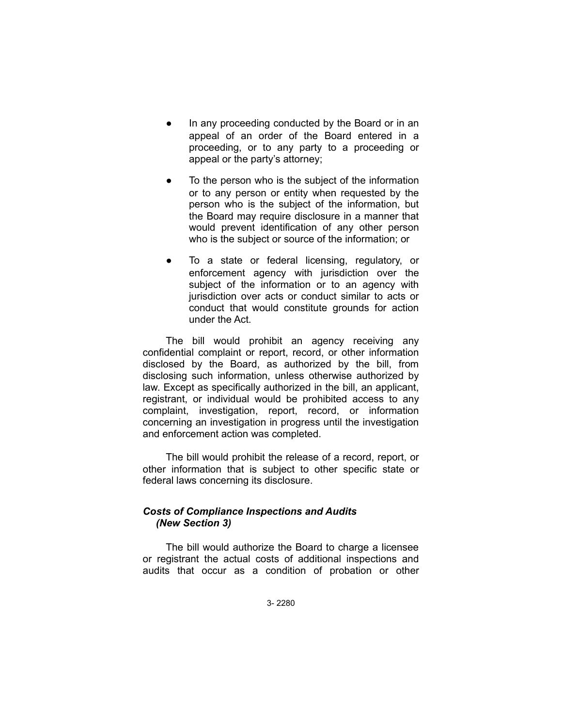- In any proceeding conducted by the Board or in an appeal of an order of the Board entered in a proceeding, or to any party to a proceeding or appeal or the party's attorney;
- To the person who is the subject of the information or to any person or entity when requested by the person who is the subject of the information, but the Board may require disclosure in a manner that would prevent identification of any other person who is the subject or source of the information; or
- To a state or federal licensing, regulatory, or enforcement agency with jurisdiction over the subject of the information or to an agency with jurisdiction over acts or conduct similar to acts or conduct that would constitute grounds for action under the Act.

The bill would prohibit an agency receiving any confidential complaint or report, record, or other information disclosed by the Board, as authorized by the bill, from disclosing such information, unless otherwise authorized by law. Except as specifically authorized in the bill, an applicant, registrant, or individual would be prohibited access to any complaint, investigation, report, record, or information concerning an investigation in progress until the investigation and enforcement action was completed.

The bill would prohibit the release of a record, report, or other information that is subject to other specific state or federal laws concerning its disclosure.

# *Costs of Compliance Inspections and Audits (New Section 3)*

The bill would authorize the Board to charge a licensee or registrant the actual costs of additional inspections and audits that occur as a condition of probation or other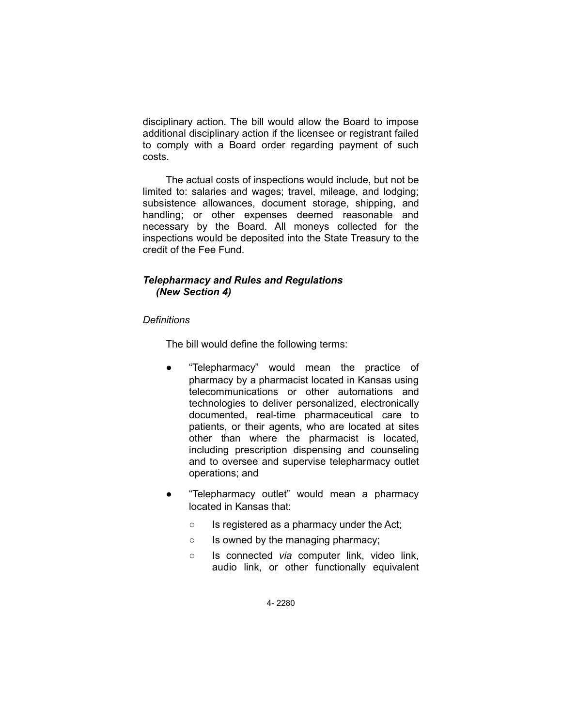disciplinary action. The bill would allow the Board to impose additional disciplinary action if the licensee or registrant failed to comply with a Board order regarding payment of such costs.

The actual costs of inspections would include, but not be limited to: salaries and wages; travel, mileage, and lodging; subsistence allowances, document storage, shipping, and handling; or other expenses deemed reasonable and necessary by the Board. All moneys collected for the inspections would be deposited into the State Treasury to the credit of the Fee Fund.

# *Telepharmacy and Rules and Regulations (New Section 4)*

# *Definitions*

The bill would define the following terms:

- "Telepharmacy" would mean the practice of pharmacy by a pharmacist located in Kansas using telecommunications or other automations and technologies to deliver personalized, electronically documented, real-time pharmaceutical care to patients, or their agents, who are located at sites other than where the pharmacist is located, including prescription dispensing and counseling and to oversee and supervise telepharmacy outlet operations; and
- "Telepharmacy outlet" would mean a pharmacy located in Kansas that:
	- Is registered as a pharmacy under the Act;
	- Is owned by the managing pharmacy;
	- Is connected *via* computer link, video link, audio link, or other functionally equivalent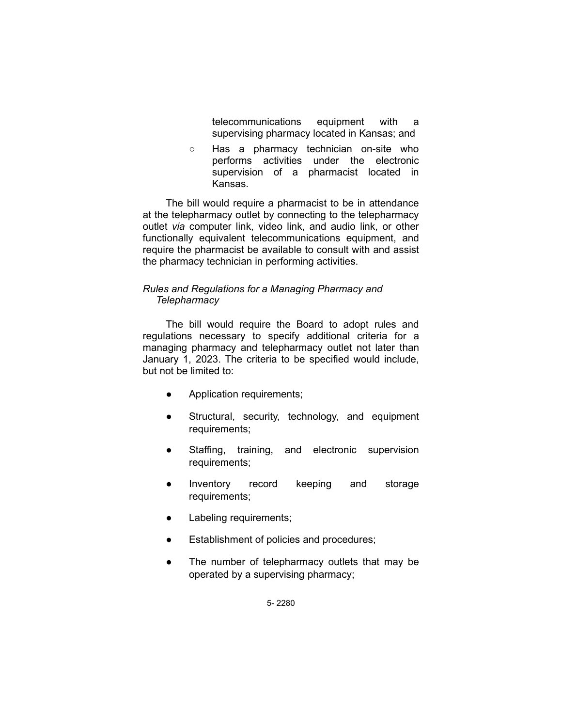telecommunications equipment with a supervising pharmacy located in Kansas; and

○ Has a pharmacy technician on-site who performs activities under the electronic supervision of a pharmacist located in Kansas.

The bill would require a pharmacist to be in attendance at the telepharmacy outlet by connecting to the telepharmacy outlet *via* computer link, video link, and audio link, or other functionally equivalent telecommunications equipment, and require the pharmacist be available to consult with and assist the pharmacy technician in performing activities.

# *Rules and Regulations for a Managing Pharmacy and Telepharmacy*

The bill would require the Board to adopt rules and regulations necessary to specify additional criteria for a managing pharmacy and telepharmacy outlet not later than January 1, 2023. The criteria to be specified would include, but not be limited to:

- Application requirements;
- Structural, security, technology, and equipment requirements;
- Staffing, training, and electronic supervision requirements;
- Inventory record keeping and storage requirements;
- Labeling requirements;
- Establishment of policies and procedures;
- The number of telepharmacy outlets that may be operated by a supervising pharmacy;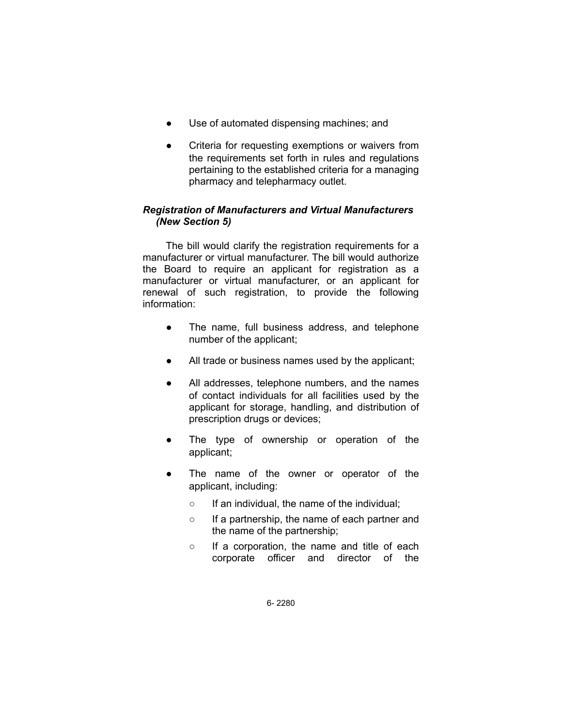- Use of automated dispensing machines; and
- Criteria for requesting exemptions or waivers from the requirements set forth in rules and regulations pertaining to the established criteria for a managing pharmacy and telepharmacy outlet.

# *Registration of Manufacturers and Virtual Manufacturers (New Section 5)*

The bill would clarify the registration requirements for a manufacturer or virtual manufacturer. The bill would authorize the Board to require an applicant for registration as a manufacturer or virtual manufacturer, or an applicant for renewal of such registration, to provide the following information:

- The name, full business address, and telephone number of the applicant;
- All trade or business names used by the applicant;
- All addresses, telephone numbers, and the names of contact individuals for all facilities used by the applicant for storage, handling, and distribution of prescription drugs or devices;
- The type of ownership or operation of the applicant;
- The name of the owner or operator of the applicant, including:
	- If an individual, the name of the individual;
	- If a partnership, the name of each partner and the name of the partnership;
	- If a corporation, the name and title of each corporate officer and director of the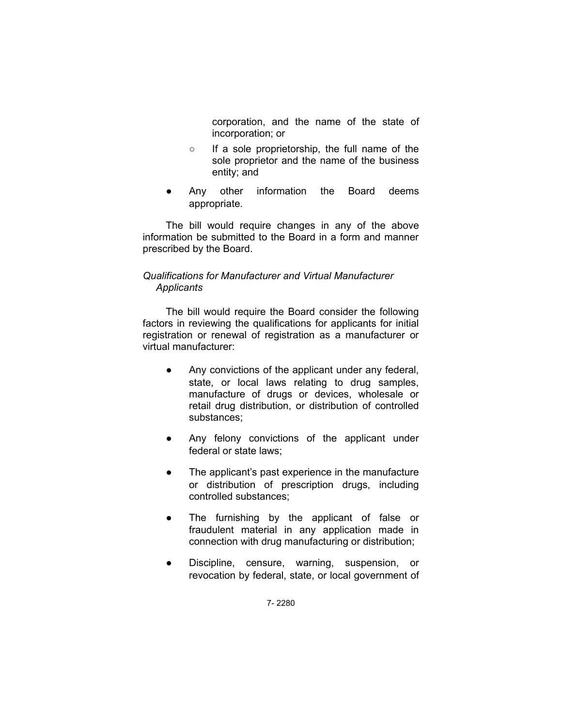corporation, and the name of the state of incorporation; or

- If a sole proprietorship, the full name of the sole proprietor and the name of the business entity; and
- Any other information the Board deems appropriate.

The bill would require changes in any of the above information be submitted to the Board in a form and manner prescribed by the Board.

# *Qualifications for Manufacturer and Virtual Manufacturer Applicants*

The bill would require the Board consider the following factors in reviewing the qualifications for applicants for initial registration or renewal of registration as a manufacturer or virtual manufacturer:

- Any convictions of the applicant under any federal, state, or local laws relating to drug samples, manufacture of drugs or devices, wholesale or retail drug distribution, or distribution of controlled substances;
- Any felony convictions of the applicant under federal or state laws;
- The applicant's past experience in the manufacture or distribution of prescription drugs, including controlled substances;
- The furnishing by the applicant of false or fraudulent material in any application made in connection with drug manufacturing or distribution;
- Discipline, censure, warning, suspension, or revocation by federal, state, or local government of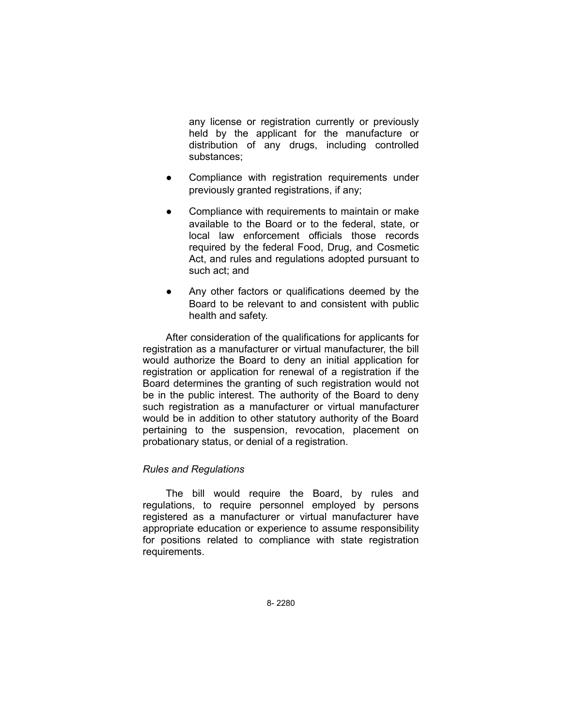any license or registration currently or previously held by the applicant for the manufacture or distribution of any drugs, including controlled substances;

- Compliance with registration requirements under previously granted registrations, if any;
- Compliance with requirements to maintain or make available to the Board or to the federal, state, or local law enforcement officials those records required by the federal Food, Drug, and Cosmetic Act, and rules and regulations adopted pursuant to such act; and
- Any other factors or qualifications deemed by the Board to be relevant to and consistent with public health and safety.

After consideration of the qualifications for applicants for registration as a manufacturer or virtual manufacturer, the bill would authorize the Board to deny an initial application for registration or application for renewal of a registration if the Board determines the granting of such registration would not be in the public interest. The authority of the Board to deny such registration as a manufacturer or virtual manufacturer would be in addition to other statutory authority of the Board pertaining to the suspension, revocation, placement on probationary status, or denial of a registration.

#### *Rules and Regulations*

The bill would require the Board, by rules and regulations, to require personnel employed by persons registered as a manufacturer or virtual manufacturer have appropriate education or experience to assume responsibility for positions related to compliance with state registration requirements.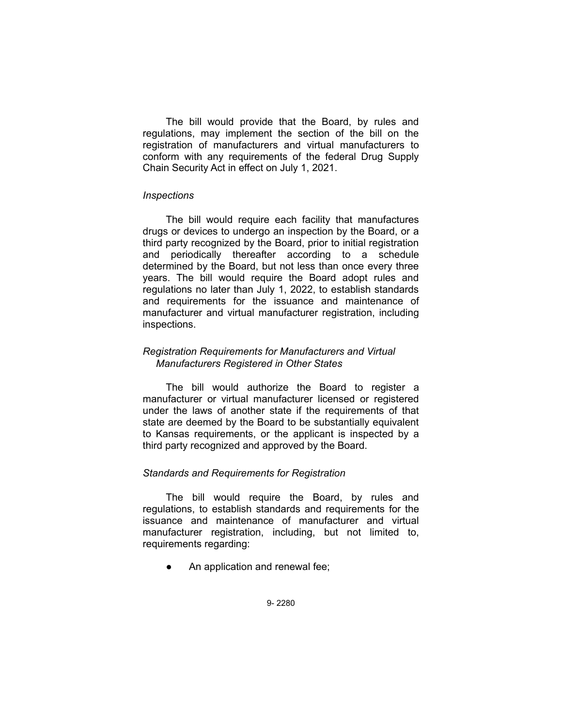The bill would provide that the Board, by rules and regulations, may implement the section of the bill on the registration of manufacturers and virtual manufacturers to conform with any requirements of the federal Drug Supply Chain Security Act in effect on July 1, 2021.

#### *Inspections*

The bill would require each facility that manufactures drugs or devices to undergo an inspection by the Board, or a third party recognized by the Board, prior to initial registration and periodically thereafter according to a schedule determined by the Board, but not less than once every three years. The bill would require the Board adopt rules and regulations no later than July 1, 2022, to establish standards and requirements for the issuance and maintenance of manufacturer and virtual manufacturer registration, including inspections.

# *Registration Requirements for Manufacturers and Virtual Manufacturers Registered in Other States*

The bill would authorize the Board to register a manufacturer or virtual manufacturer licensed or registered under the laws of another state if the requirements of that state are deemed by the Board to be substantially equivalent to Kansas requirements, or the applicant is inspected by a third party recognized and approved by the Board.

# *Standards and Requirements for Registration*

The bill would require the Board, by rules and regulations, to establish standards and requirements for the issuance and maintenance of manufacturer and virtual manufacturer registration, including, but not limited to, requirements regarding:

An application and renewal fee;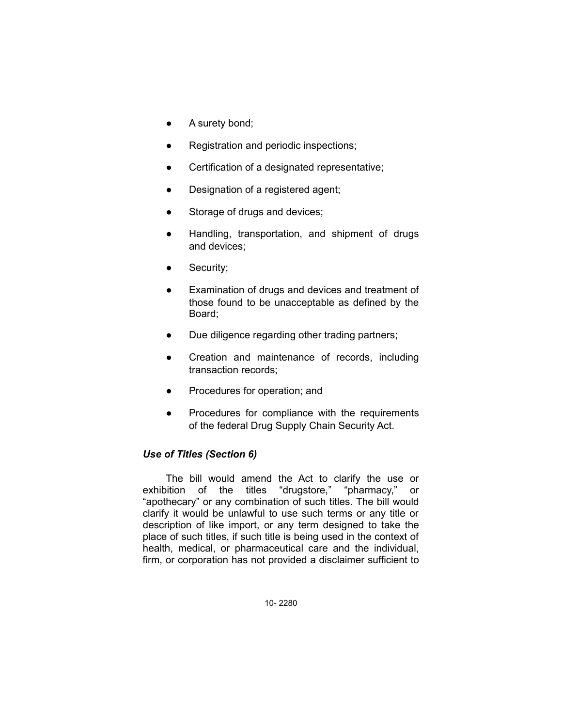- A surety bond;
- Registration and periodic inspections;
- Certification of a designated representative;
- Designation of a registered agent;
- Storage of drugs and devices;
- Handling, transportation, and shipment of drugs and devices;
- Security;
- Examination of drugs and devices and treatment of those found to be unacceptable as defined by the Board;
- Due diligence regarding other trading partners;
- Creation and maintenance of records, including transaction records;
- Procedures for operation; and
- Procedures for compliance with the requirements of the federal Drug Supply Chain Security Act.

# *Use of Titles (Section 6)*

The bill would amend the Act to clarify the use or exhibition of the titles "drugstore," "pharmacy," or "apothecary" or any combination of such titles. The bill would clarify it would be unlawful to use such terms or any title or description of like import, or any term designed to take the place of such titles, if such title is being used in the context of health, medical, or pharmaceutical care and the individual, firm, or corporation has not provided a disclaimer sufficient to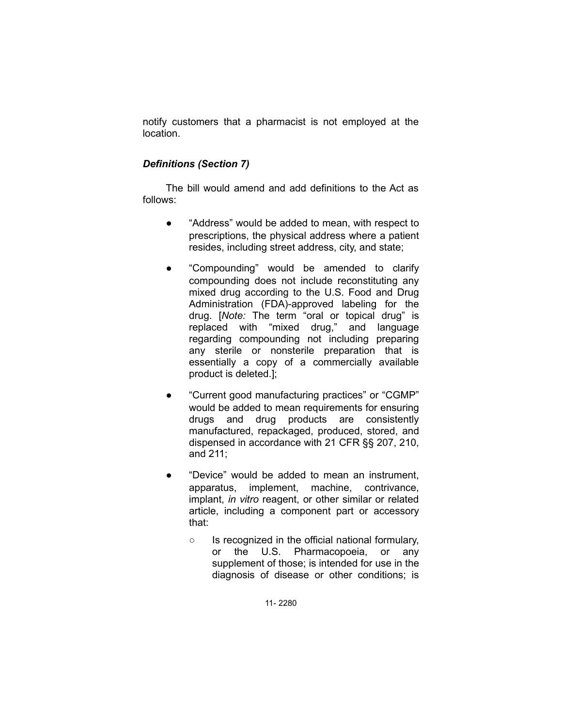notify customers that a pharmacist is not employed at the location.

# *Definitions (Section 7)*

The bill would amend and add definitions to the Act as follows:

- "Address" would be added to mean, with respect to prescriptions, the physical address where a patient resides, including street address, city, and state;
- "Compounding" would be amended to clarify compounding does not include reconstituting any mixed drug according to the U.S. Food and Drug Administration (FDA)-approved labeling for the drug. [*Note:* The term "oral or topical drug" is replaced with "mixed drug," and language regarding compounding not including preparing any sterile or nonsterile preparation that is essentially a copy of a commercially available product is deleted.];
- "Current good manufacturing practices" or "CGMP" would be added to mean requirements for ensuring drugs and drug products are consistently manufactured, repackaged, produced, stored, and dispensed in accordance with 21 CFR §§ 207, 210, and 211;
- "Device" would be added to mean an instrument, apparatus, implement, machine, contrivance, implant, *in vitro* reagent, or other similar or related article, including a component part or accessory that:
	- Is recognized in the official national formulary, or the U.S. Pharmacopoeia, or any supplement of those; is intended for use in the diagnosis of disease or other conditions; is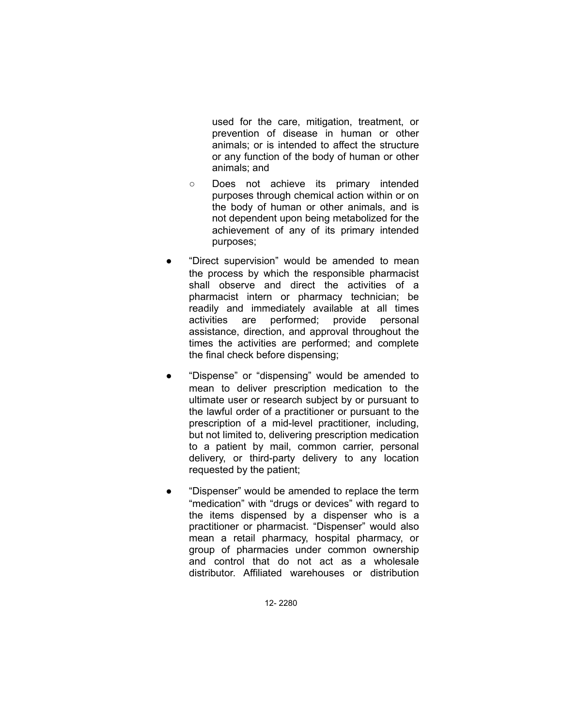used for the care, mitigation, treatment, or prevention of disease in human or other animals; or is intended to affect the structure or any function of the body of human or other animals; and

- Does not achieve its primary intended purposes through chemical action within or on the body of human or other animals, and is not dependent upon being metabolized for the achievement of any of its primary intended purposes;
- "Direct supervision" would be amended to mean the process by which the responsible pharmacist shall observe and direct the activities of a pharmacist intern or pharmacy technician; be readily and immediately available at all times activities are performed; provide personal assistance, direction, and approval throughout the times the activities are performed; and complete the final check before dispensing;
- "Dispense" or "dispensing" would be amended to mean to deliver prescription medication to the ultimate user or research subject by or pursuant to the lawful order of a practitioner or pursuant to the prescription of a mid-level practitioner, including, but not limited to, delivering prescription medication to a patient by mail, common carrier, personal delivery, or third-party delivery to any location requested by the patient;
- "Dispenser" would be amended to replace the term "medication" with "drugs or devices" with regard to the items dispensed by a dispenser who is a practitioner or pharmacist. "Dispenser" would also mean a retail pharmacy, hospital pharmacy, or group of pharmacies under common ownership and control that do not act as a wholesale distributor. Affiliated warehouses or distribution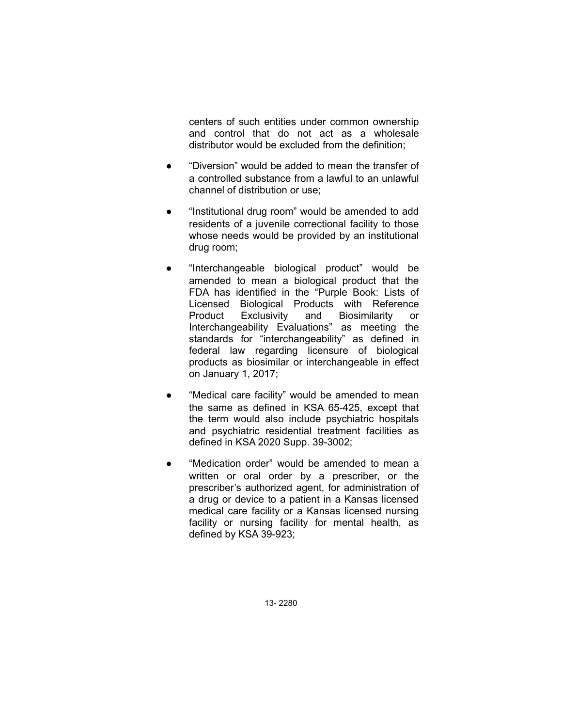centers of such entities under common ownership and control that do not act as a wholesale distributor would be excluded from the definition;

- "Diversion" would be added to mean the transfer of a controlled substance from a lawful to an unlawful channel of distribution or use;
- "Institutional drug room" would be amended to add residents of a juvenile correctional facility to those whose needs would be provided by an institutional drug room;
- "Interchangeable biological product" would be amended to mean a biological product that the FDA has identified in the "Purple Book: Lists of Licensed Biological Products with Reference Product Exclusivity and Biosimilarity or Interchangeability Evaluations" as meeting the standards for "interchangeability" as defined in federal law regarding licensure of biological products as biosimilar or interchangeable in effect on January 1, 2017;
- "Medical care facility" would be amended to mean the same as defined in KSA 65-425, except that the term would also include psychiatric hospitals and psychiatric residential treatment facilities as defined in KSA 2020 Supp. 39-3002;
- "Medication order" would be amended to mean a written or oral order by a prescriber, or the prescriber's authorized agent, for administration of a drug or device to a patient in a Kansas licensed medical care facility or a Kansas licensed nursing facility or nursing facility for mental health, as defined by KSA 39-923;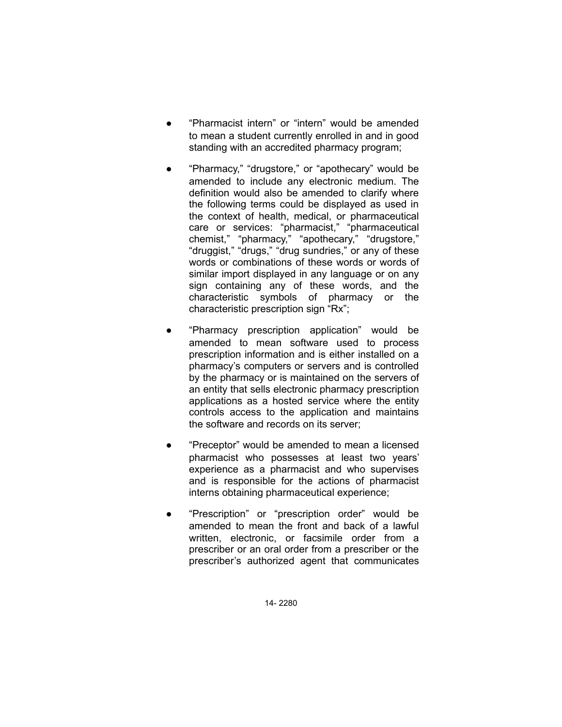- "Pharmacist intern" or "intern" would be amended to mean a student currently enrolled in and in good standing with an accredited pharmacy program;
- "Pharmacy," "drugstore," or "apothecary" would be amended to include any electronic medium. The definition would also be amended to clarify where the following terms could be displayed as used in the context of health, medical, or pharmaceutical care or services: "pharmacist," "pharmaceutical chemist," "pharmacy," "apothecary," "drugstore," "druggist," "drugs," "drug sundries," or any of these words or combinations of these words or words of similar import displayed in any language or on any sign containing any of these words, and the characteristic symbols of pharmacy or the characteristic prescription sign "Rx";
- "Pharmacy prescription application" would be amended to mean software used to process prescription information and is either installed on a pharmacy's computers or servers and is controlled by the pharmacy or is maintained on the servers of an entity that sells electronic pharmacy prescription applications as a hosted service where the entity controls access to the application and maintains the software and records on its server;
- "Preceptor" would be amended to mean a licensed pharmacist who possesses at least two years' experience as a pharmacist and who supervises and is responsible for the actions of pharmacist interns obtaining pharmaceutical experience;
- "Prescription" or "prescription order" would be amended to mean the front and back of a lawful written, electronic, or facsimile order from a prescriber or an oral order from a prescriber or the prescriber's authorized agent that communicates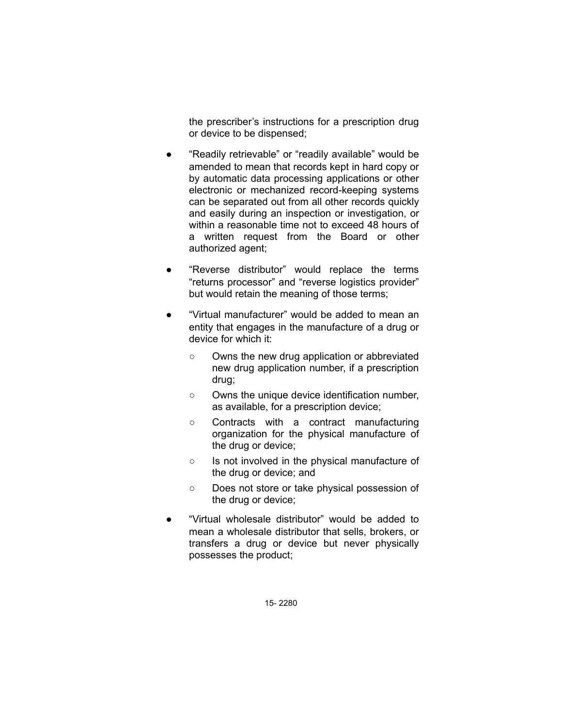the prescriber's instructions for a prescription drug or device to be dispensed;

- "Readily retrievable" or "readily available" would be amended to mean that records kept in hard copy or by automatic data processing applications or other electronic or mechanized record-keeping systems can be separated out from all other records quickly and easily during an inspection or investigation, or within a reasonable time not to exceed 48 hours of a written request from the Board or other authorized agent;
- "Reverse distributor" would replace the terms "returns processor" and "reverse logistics provider" but would retain the meaning of those terms;
- "Virtual manufacturer" would be added to mean an entity that engages in the manufacture of a drug or device for which it:
	- Owns the new drug application or abbreviated new drug application number, if a prescription drug;
	- Owns the unique device identification number, as available, for a prescription device;
	- Contracts with a contract manufacturing organization for the physical manufacture of the drug or device;
	- Is not involved in the physical manufacture of the drug or device; and
	- Does not store or take physical possession of the drug or device;
- "Virtual wholesale distributor" would be added to mean a wholesale distributor that sells, brokers, or transfers a drug or device but never physically possesses the product;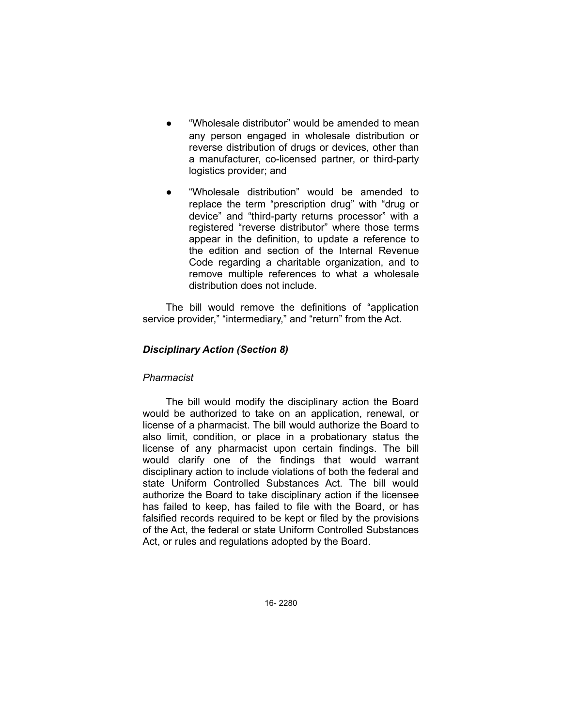- "Wholesale distributor" would be amended to mean any person engaged in wholesale distribution or reverse distribution of drugs or devices, other than a manufacturer, co-licensed partner, or third-party logistics provider; and
- "Wholesale distribution" would be amended to replace the term "prescription drug" with "drug or device" and "third-party returns processor" with a registered "reverse distributor" where those terms appear in the definition, to update a reference to the edition and section of the Internal Revenue Code regarding a charitable organization, and to remove multiple references to what a wholesale distribution does not include.

The bill would remove the definitions of "application service provider," "intermediary," and "return" from the Act.

# *Disciplinary Action (Section 8)*

# *Pharmacist*

The bill would modify the disciplinary action the Board would be authorized to take on an application, renewal, or license of a pharmacist. The bill would authorize the Board to also limit, condition, or place in a probationary status the license of any pharmacist upon certain findings. The bill would clarify one of the findings that would warrant disciplinary action to include violations of both the federal and state Uniform Controlled Substances Act. The bill would authorize the Board to take disciplinary action if the licensee has failed to keep, has failed to file with the Board, or has falsified records required to be kept or filed by the provisions of the Act, the federal or state Uniform Controlled Substances Act, or rules and regulations adopted by the Board.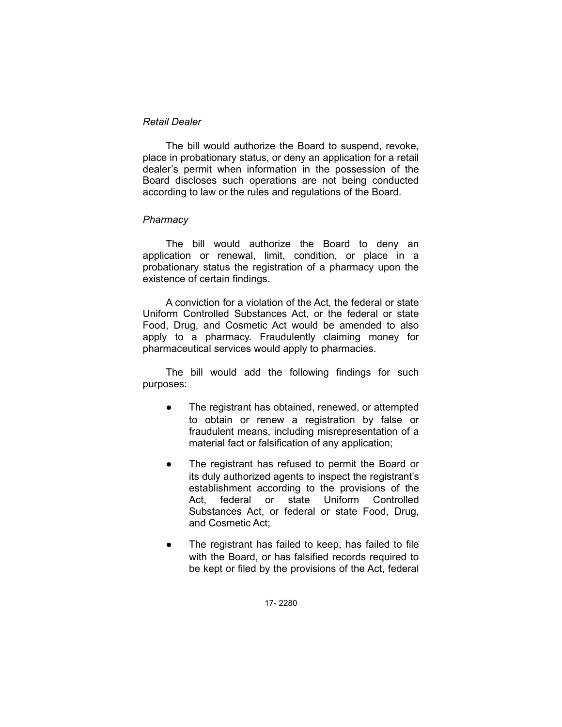### *Retail Dealer*

The bill would authorize the Board to suspend, revoke, place in probationary status, or deny an application for a retail dealer's permit when information in the possession of the Board discloses such operations are not being conducted according to law or the rules and regulations of the Board.

### *Pharmacy*

The bill would authorize the Board to deny an application or renewal, limit, condition, or place in a probationary status the registration of a pharmacy upon the existence of certain findings.

A conviction for a violation of the Act, the federal or state Uniform Controlled Substances Act, or the federal or state Food, Drug, and Cosmetic Act would be amended to also apply to a pharmacy. Fraudulently claiming money for pharmaceutical services would apply to pharmacies.

The bill would add the following findings for such purposes:

- The registrant has obtained, renewed, or attempted to obtain or renew a registration by false or fraudulent means, including misrepresentation of a material fact or falsification of any application;
- The registrant has refused to permit the Board or its duly authorized agents to inspect the registrant's establishment according to the provisions of the Act, federal or state Uniform Controlled Substances Act, or federal or state Food, Drug, and Cosmetic Act;
- The registrant has failed to keep, has failed to file with the Board, or has falsified records required to be kept or filed by the provisions of the Act, federal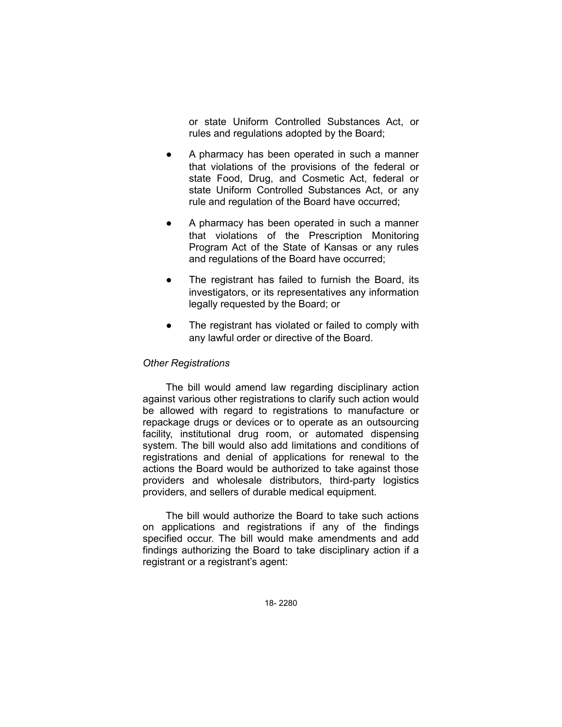or state Uniform Controlled Substances Act, or rules and regulations adopted by the Board;

- A pharmacy has been operated in such a manner that violations of the provisions of the federal or state Food, Drug, and Cosmetic Act, federal or state Uniform Controlled Substances Act, or any rule and regulation of the Board have occurred;
- A pharmacy has been operated in such a manner that violations of the Prescription Monitoring Program Act of the State of Kansas or any rules and regulations of the Board have occurred;
- The registrant has failed to furnish the Board, its investigators, or its representatives any information legally requested by the Board; or
- The registrant has violated or failed to comply with any lawful order or directive of the Board.

# *Other Registrations*

The bill would amend law regarding disciplinary action against various other registrations to clarify such action would be allowed with regard to registrations to manufacture or repackage drugs or devices or to operate as an outsourcing facility, institutional drug room, or automated dispensing system. The bill would also add limitations and conditions of registrations and denial of applications for renewal to the actions the Board would be authorized to take against those providers and wholesale distributors, third-party logistics providers, and sellers of durable medical equipment.

The bill would authorize the Board to take such actions on applications and registrations if any of the findings specified occur. The bill would make amendments and add findings authorizing the Board to take disciplinary action if a registrant or a registrant's agent: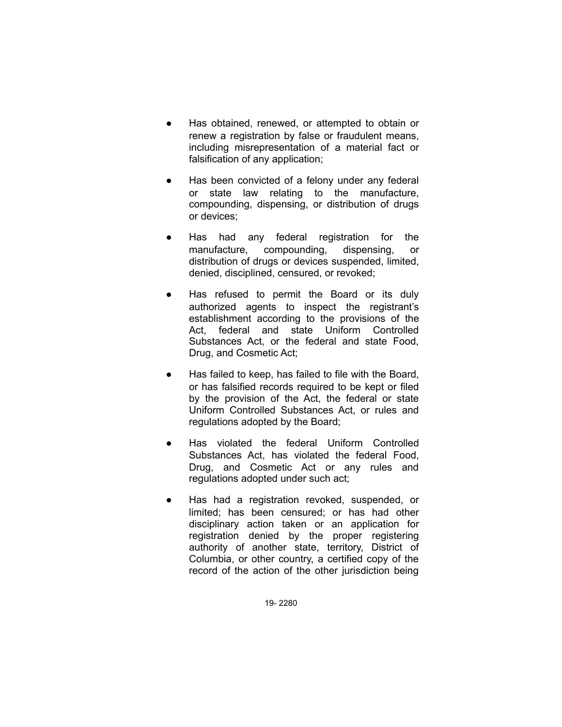- Has obtained, renewed, or attempted to obtain or renew a registration by false or fraudulent means, including misrepresentation of a material fact or falsification of any application;
- Has been convicted of a felony under any federal or state law relating to the manufacture, compounding, dispensing, or distribution of drugs or devices;
- Has had any federal registration for the manufacture, compounding, dispensing, or distribution of drugs or devices suspended, limited, denied, disciplined, censured, or revoked;
- Has refused to permit the Board or its duly authorized agents to inspect the registrant's establishment according to the provisions of the Act, federal and state Uniform Controlled Substances Act, or the federal and state Food, Drug, and Cosmetic Act;
- Has failed to keep, has failed to file with the Board, or has falsified records required to be kept or filed by the provision of the Act, the federal or state Uniform Controlled Substances Act, or rules and regulations adopted by the Board;
- Has violated the federal Uniform Controlled Substances Act, has violated the federal Food, Drug, and Cosmetic Act or any rules and regulations adopted under such act;
- Has had a registration revoked, suspended, or limited; has been censured; or has had other disciplinary action taken or an application for registration denied by the proper registering authority of another state, territory, District of Columbia, or other country, a certified copy of the record of the action of the other jurisdiction being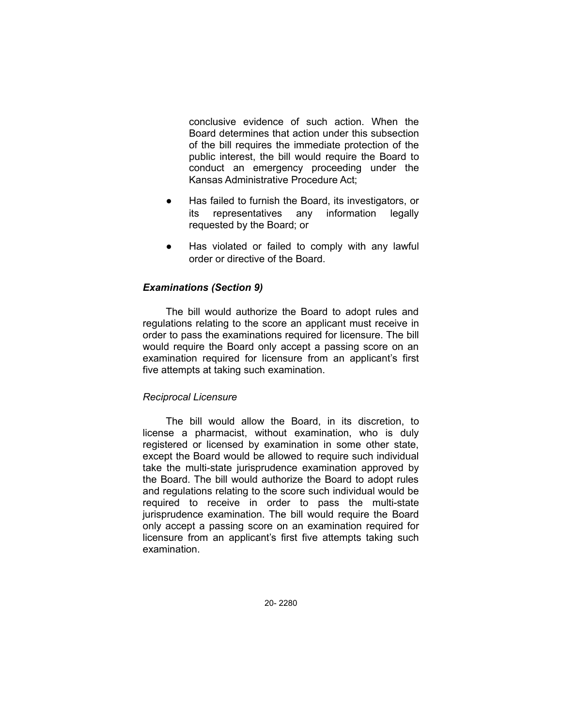conclusive evidence of such action. When the Board determines that action under this subsection of the bill requires the immediate protection of the public interest, the bill would require the Board to conduct an emergency proceeding under the Kansas Administrative Procedure Act;

- Has failed to furnish the Board, its investigators, or its representatives any information legally requested by the Board; or
- Has violated or failed to comply with any lawful order or directive of the Board.

# *Examinations (Section 9)*

The bill would authorize the Board to adopt rules and regulations relating to the score an applicant must receive in order to pass the examinations required for licensure. The bill would require the Board only accept a passing score on an examination required for licensure from an applicant's first five attempts at taking such examination.

# *Reciprocal Licensure*

The bill would allow the Board, in its discretion, to license a pharmacist, without examination, who is duly registered or licensed by examination in some other state, except the Board would be allowed to require such individual take the multi-state jurisprudence examination approved by the Board. The bill would authorize the Board to adopt rules and regulations relating to the score such individual would be required to receive in order to pass the multi-state jurisprudence examination. The bill would require the Board only accept a passing score on an examination required for licensure from an applicant's first five attempts taking such examination.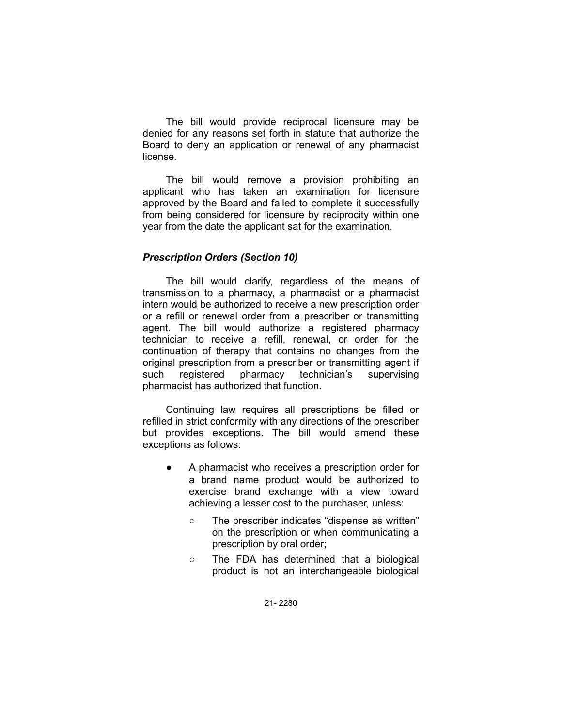The bill would provide reciprocal licensure may be denied for any reasons set forth in statute that authorize the Board to deny an application or renewal of any pharmacist license.

The bill would remove a provision prohibiting an applicant who has taken an examination for licensure approved by the Board and failed to complete it successfully from being considered for licensure by reciprocity within one year from the date the applicant sat for the examination.

# *Prescription Orders (Section 10)*

The bill would clarify, regardless of the means of transmission to a pharmacy, a pharmacist or a pharmacist intern would be authorized to receive a new prescription order or a refill or renewal order from a prescriber or transmitting agent. The bill would authorize a registered pharmacy technician to receive a refill, renewal, or order for the continuation of therapy that contains no changes from the original prescription from a prescriber or transmitting agent if such registered pharmacy technician's supervising pharmacist has authorized that function.

Continuing law requires all prescriptions be filled or refilled in strict conformity with any directions of the prescriber but provides exceptions. The bill would amend these exceptions as follows:

- A pharmacist who receives a prescription order for a brand name product would be authorized to exercise brand exchange with a view toward achieving a lesser cost to the purchaser, unless:
	- The prescriber indicates "dispense as written" on the prescription or when communicating a prescription by oral order;
	- The FDA has determined that a biological product is not an interchangeable biological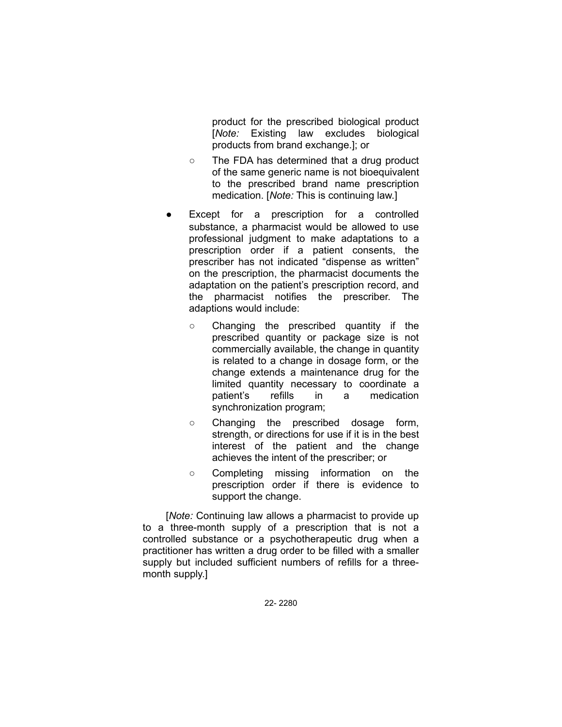product for the prescribed biological product [*Note:* Existing law excludes biological products from brand exchange.]; or

- The FDA has determined that a drug product of the same generic name is not bioequivalent to the prescribed brand name prescription medication. [*Note:* This is continuing law.]
- Except for a prescription for a controlled substance, a pharmacist would be allowed to use professional judgment to make adaptations to a prescription order if a patient consents, the prescriber has not indicated "dispense as written" on the prescription, the pharmacist documents the adaptation on the patient's prescription record, and the pharmacist notifies the prescriber. The adaptions would include:
	- Changing the prescribed quantity if the prescribed quantity or package size is not commercially available, the change in quantity is related to a change in dosage form, or the change extends a maintenance drug for the limited quantity necessary to coordinate a patient's refills in a medication synchronization program;
	- Changing the prescribed dosage form, strength, or directions for use if it is in the best interest of the patient and the change achieves the intent of the prescriber; or
	- Completing missing information on the prescription order if there is evidence to support the change.

[*Note:* Continuing law allows a pharmacist to provide up to a three-month supply of a prescription that is not a controlled substance or a psychotherapeutic drug when a practitioner has written a drug order to be filled with a smaller supply but included sufficient numbers of refills for a threemonth supply.]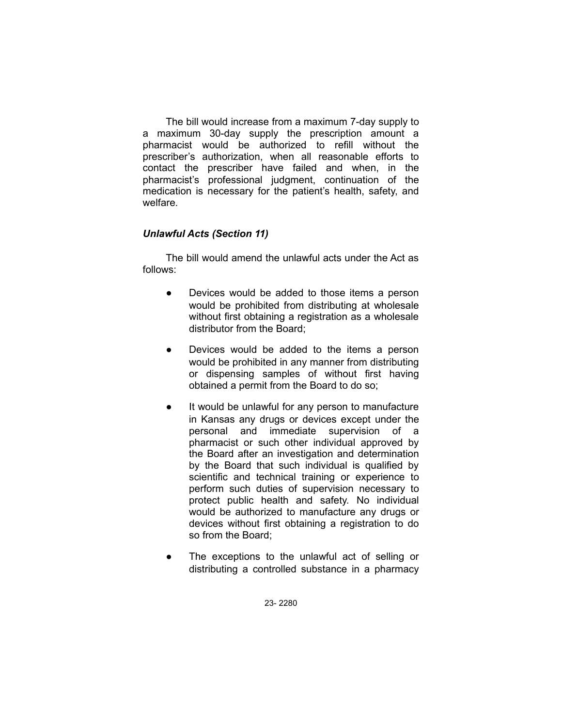The bill would increase from a maximum 7-day supply to a maximum 30-day supply the prescription amount a pharmacist would be authorized to refill without the prescriber's authorization, when all reasonable efforts to contact the prescriber have failed and when, in the pharmacist's professional judgment, continuation of the medication is necessary for the patient's health, safety, and welfare.

# *Unlawful Acts (Section 11)*

The bill would amend the unlawful acts under the Act as follows:

- Devices would be added to those items a person would be prohibited from distributing at wholesale without first obtaining a registration as a wholesale distributor from the Board;
- Devices would be added to the items a person would be prohibited in any manner from distributing or dispensing samples of without first having obtained a permit from the Board to do so;
- It would be unlawful for any person to manufacture in Kansas any drugs or devices except under the personal and immediate supervision of a pharmacist or such other individual approved by the Board after an investigation and determination by the Board that such individual is qualified by scientific and technical training or experience to perform such duties of supervision necessary to protect public health and safety. No individual would be authorized to manufacture any drugs or devices without first obtaining a registration to do so from the Board;
- The exceptions to the unlawful act of selling or distributing a controlled substance in a pharmacy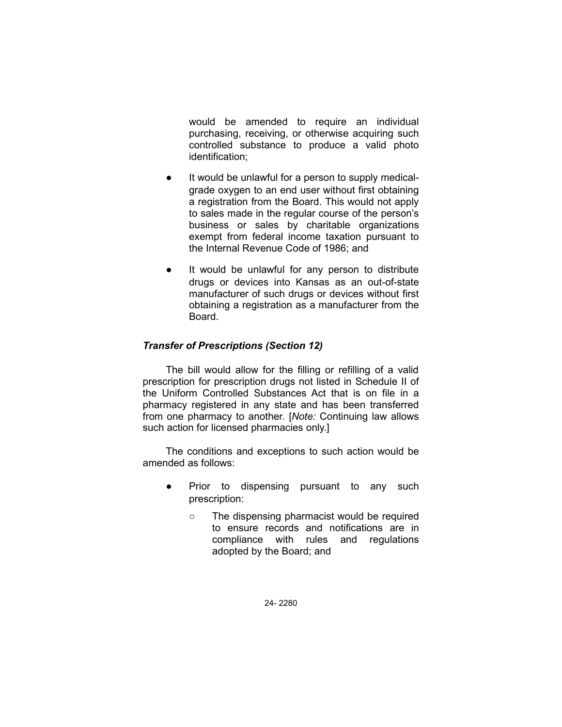would be amended to require an individual purchasing, receiving, or otherwise acquiring such controlled substance to produce a valid photo identification;

- It would be unlawful for a person to supply medicalgrade oxygen to an end user without first obtaining a registration from the Board. This would not apply to sales made in the regular course of the person's business or sales by charitable organizations exempt from federal income taxation pursuant to the Internal Revenue Code of 1986; and
- It would be unlawful for any person to distribute drugs or devices into Kansas as an out-of-state manufacturer of such drugs or devices without first obtaining a registration as a manufacturer from the Board.

# *Transfer of Prescriptions (Section 12)*

The bill would allow for the filling or refilling of a valid prescription for prescription drugs not listed in Schedule II of the Uniform Controlled Substances Act that is on file in a pharmacy registered in any state and has been transferred from one pharmacy to another. [*Note:* Continuing law allows such action for licensed pharmacies only.]

The conditions and exceptions to such action would be amended as follows:

- Prior to dispensing pursuant to any such prescription:
	- The dispensing pharmacist would be required to ensure records and notifications are in compliance with rules and regulations adopted by the Board; and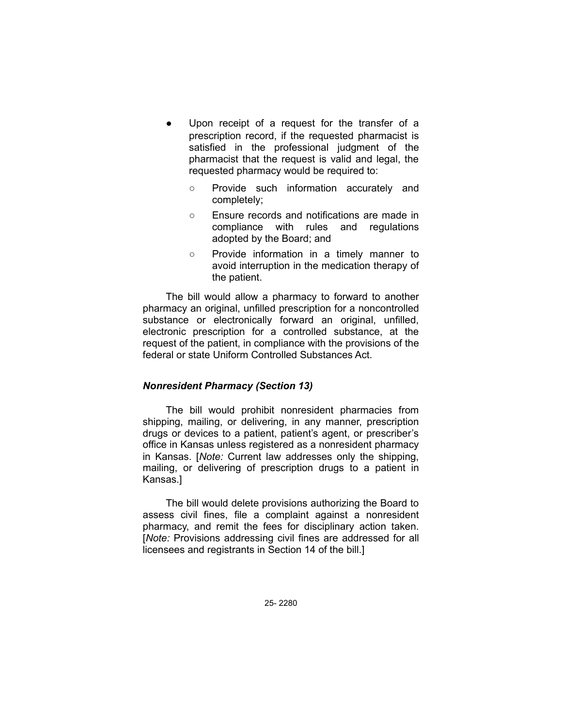- Upon receipt of a request for the transfer of a prescription record, if the requested pharmacist is satisfied in the professional judgment of the pharmacist that the request is valid and legal, the requested pharmacy would be required to:
	- Provide such information accurately and completely;
	- Ensure records and notifications are made in compliance with rules and regulations adopted by the Board; and
	- Provide information in a timely manner to avoid interruption in the medication therapy of the patient.

The bill would allow a pharmacy to forward to another pharmacy an original, unfilled prescription for a noncontrolled substance or electronically forward an original, unfilled, electronic prescription for a controlled substance, at the request of the patient, in compliance with the provisions of the federal or state Uniform Controlled Substances Act.

# *Nonresident Pharmacy (Section 13)*

The bill would prohibit nonresident pharmacies from shipping, mailing, or delivering, in any manner, prescription drugs or devices to a patient, patient's agent, or prescriber's office in Kansas unless registered as a nonresident pharmacy in Kansas. [*Note:* Current law addresses only the shipping, mailing, or delivering of prescription drugs to a patient in Kansas.]

The bill would delete provisions authorizing the Board to assess civil fines, file a complaint against a nonresident pharmacy, and remit the fees for disciplinary action taken. [*Note:* Provisions addressing civil fines are addressed for all licensees and registrants in Section 14 of the bill.]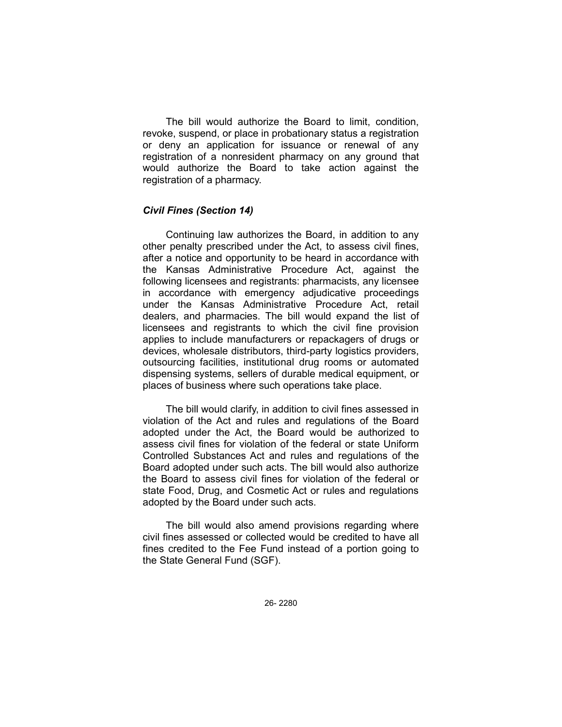The bill would authorize the Board to limit, condition, revoke, suspend, or place in probationary status a registration or deny an application for issuance or renewal of any registration of a nonresident pharmacy on any ground that would authorize the Board to take action against the registration of a pharmacy.

### *Civil Fines (Section 14)*

Continuing law authorizes the Board, in addition to any other penalty prescribed under the Act, to assess civil fines, after a notice and opportunity to be heard in accordance with the Kansas Administrative Procedure Act, against the following licensees and registrants: pharmacists, any licensee in accordance with emergency adjudicative proceedings under the Kansas Administrative Procedure Act, retail dealers, and pharmacies. The bill would expand the list of licensees and registrants to which the civil fine provision applies to include manufacturers or repackagers of drugs or devices, wholesale distributors, third-party logistics providers, outsourcing facilities, institutional drug rooms or automated dispensing systems, sellers of durable medical equipment, or places of business where such operations take place.

The bill would clarify, in addition to civil fines assessed in violation of the Act and rules and regulations of the Board adopted under the Act, the Board would be authorized to assess civil fines for violation of the federal or state Uniform Controlled Substances Act and rules and regulations of the Board adopted under such acts. The bill would also authorize the Board to assess civil fines for violation of the federal or state Food, Drug, and Cosmetic Act or rules and regulations adopted by the Board under such acts.

The bill would also amend provisions regarding where civil fines assessed or collected would be credited to have all fines credited to the Fee Fund instead of a portion going to the State General Fund (SGF).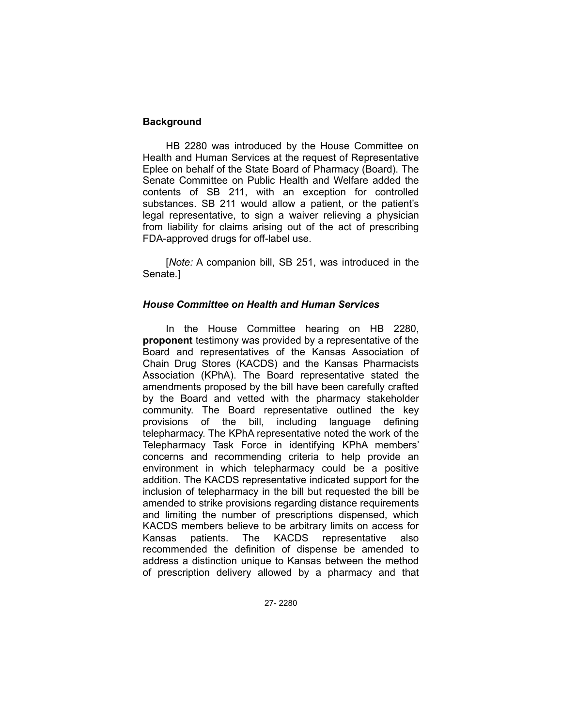# **Background**

HB 2280 was introduced by the House Committee on Health and Human Services at the request of Representative Eplee on behalf of the State Board of Pharmacy (Board). The Senate Committee on Public Health and Welfare added the contents of SB 211, with an exception for controlled substances. SB 211 would allow a patient, or the patient's legal representative, to sign a waiver relieving a physician from liability for claims arising out of the act of prescribing FDA-approved drugs for off-label use.

[*Note:* A companion bill, SB 251, was introduced in the Senate.]

### *House Committee on Health and Human Services*

In the House Committee hearing on HB 2280, **proponent** testimony was provided by a representative of the Board and representatives of the Kansas Association of Chain Drug Stores (KACDS) and the Kansas Pharmacists Association (KPhA). The Board representative stated the amendments proposed by the bill have been carefully crafted by the Board and vetted with the pharmacy stakeholder community. The Board representative outlined the key provisions of the bill, including language defining telepharmacy. The KPhA representative noted the work of the Telepharmacy Task Force in identifying KPhA members' concerns and recommending criteria to help provide an environment in which telepharmacy could be a positive addition. The KACDS representative indicated support for the inclusion of telepharmacy in the bill but requested the bill be amended to strike provisions regarding distance requirements and limiting the number of prescriptions dispensed, which KACDS members believe to be arbitrary limits on access for Kansas patients. The KACDS representative also recommended the definition of dispense be amended to address a distinction unique to Kansas between the method of prescription delivery allowed by a pharmacy and that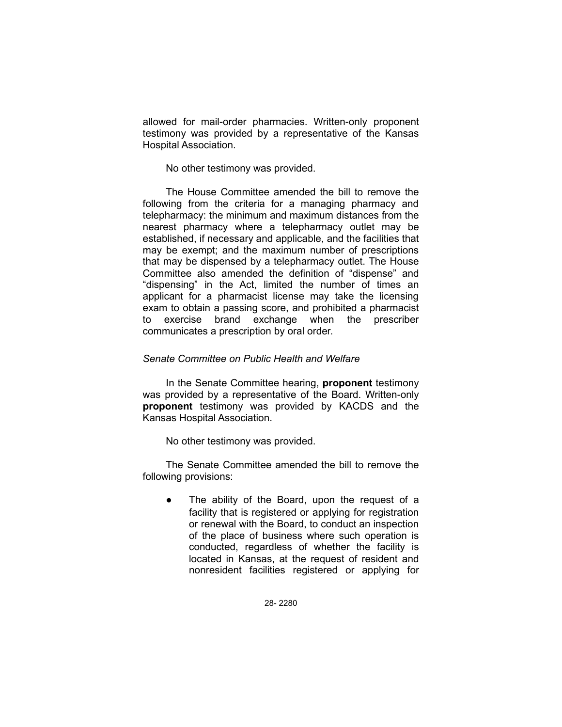allowed for mail-order pharmacies. Written-only proponent testimony was provided by a representative of the Kansas Hospital Association.

No other testimony was provided.

The House Committee amended the bill to remove the following from the criteria for a managing pharmacy and telepharmacy: the minimum and maximum distances from the nearest pharmacy where a telepharmacy outlet may be established, if necessary and applicable, and the facilities that may be exempt; and the maximum number of prescriptions that may be dispensed by a telepharmacy outlet. The House Committee also amended the definition of "dispense" and "dispensing" in the Act, limited the number of times an applicant for a pharmacist license may take the licensing exam to obtain a passing score, and prohibited a pharmacist to exercise brand exchange when the prescriber communicates a prescription by oral order.

# *Senate Committee on Public Health and Welfare*

In the Senate Committee hearing, **proponent** testimony was provided by a representative of the Board. Written-only **proponent** testimony was provided by KACDS and the Kansas Hospital Association.

No other testimony was provided.

The Senate Committee amended the bill to remove the following provisions:

● The ability of the Board, upon the request of a facility that is registered or applying for registration or renewal with the Board, to conduct an inspection of the place of business where such operation is conducted, regardless of whether the facility is located in Kansas, at the request of resident and nonresident facilities registered or applying for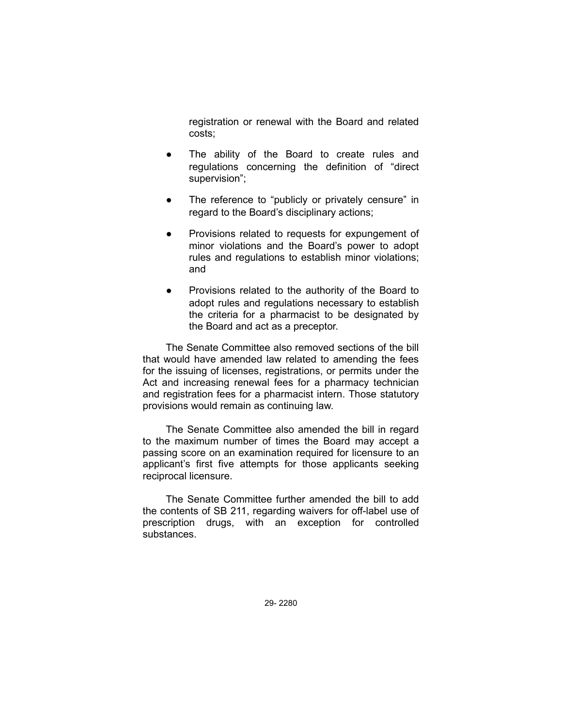registration or renewal with the Board and related costs;

- The ability of the Board to create rules and regulations concerning the definition of "direct supervision";
- The reference to "publicly or privately censure" in regard to the Board's disciplinary actions;
- Provisions related to requests for expungement of minor violations and the Board's power to adopt rules and regulations to establish minor violations; and
- Provisions related to the authority of the Board to adopt rules and regulations necessary to establish the criteria for a pharmacist to be designated by the Board and act as a preceptor.

The Senate Committee also removed sections of the bill that would have amended law related to amending the fees for the issuing of licenses, registrations, or permits under the Act and increasing renewal fees for a pharmacy technician and registration fees for a pharmacist intern. Those statutory provisions would remain as continuing law.

The Senate Committee also amended the bill in regard to the maximum number of times the Board may accept a passing score on an examination required for licensure to an applicant's first five attempts for those applicants seeking reciprocal licensure.

The Senate Committee further amended the bill to add the contents of SB 211, regarding waivers for off-label use of prescription drugs, with an exception for controlled substances.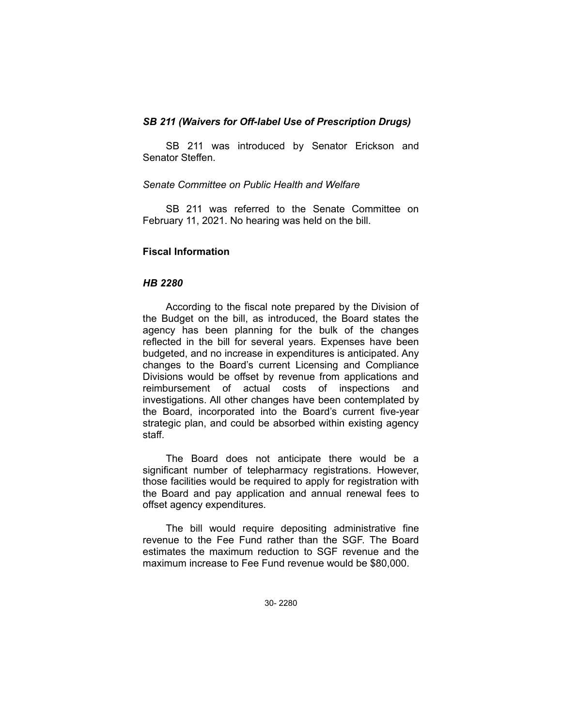# *SB 211 (Waivers for Off-label Use of Prescription Drugs)*

SB 211 was introduced by Senator Erickson and Senator Steffen.

# *Senate Committee on Public Health and Welfare*

SB 211 was referred to the Senate Committee on February 11, 2021. No hearing was held on the bill.

# **Fiscal Information**

# *HB 2280*

According to the fiscal note prepared by the Division of the Budget on the bill, as introduced, the Board states the agency has been planning for the bulk of the changes reflected in the bill for several years. Expenses have been budgeted, and no increase in expenditures is anticipated. Any changes to the Board's current Licensing and Compliance Divisions would be offset by revenue from applications and reimbursement of actual costs of inspections and investigations. All other changes have been contemplated by the Board, incorporated into the Board's current five-year strategic plan, and could be absorbed within existing agency staff.

The Board does not anticipate there would be a significant number of telepharmacy registrations. However, those facilities would be required to apply for registration with the Board and pay application and annual renewal fees to offset agency expenditures.

The bill would require depositing administrative fine revenue to the Fee Fund rather than the SGF. The Board estimates the maximum reduction to SGF revenue and the maximum increase to Fee Fund revenue would be \$80,000.